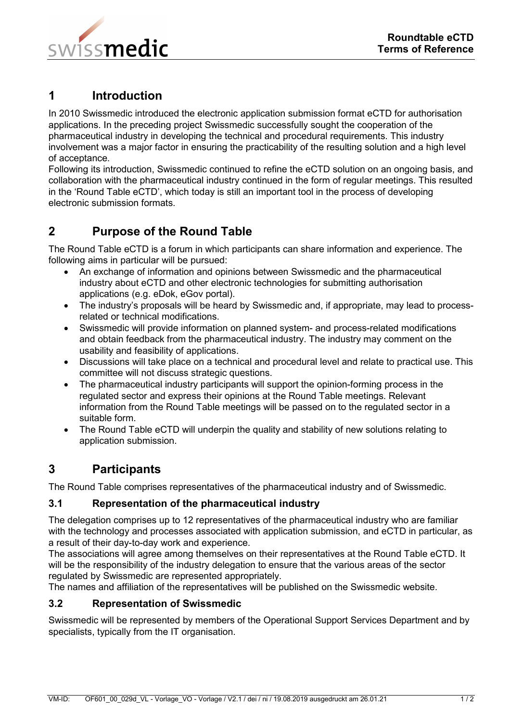

## **1 Introduction**

In 2010 Swissmedic introduced the electronic application submission format eCTD for authorisation applications. In the preceding project Swissmedic successfully sought the cooperation of the pharmaceutical industry in developing the technical and procedural requirements. This industry involvement was a major factor in ensuring the practicability of the resulting solution and a high level of acceptance.

Following its introduction, Swissmedic continued to refine the eCTD solution on an ongoing basis, and collaboration with the pharmaceutical industry continued in the form of regular meetings. This resulted in the 'Round Table eCTD', which today is still an important tool in the process of developing electronic submission formats.

# **2 Purpose of the Round Table**

The Round Table eCTD is a forum in which participants can share information and experience. The following aims in particular will be pursued:

- An exchange of information and opinions between Swissmedic and the pharmaceutical industry about eCTD and other electronic technologies for submitting authorisation applications (e.g. eDok, eGov portal).
- The industry's proposals will be heard by Swissmedic and, if appropriate, may lead to processrelated or technical modifications.
- Swissmedic will provide information on planned system- and process-related modifications and obtain feedback from the pharmaceutical industry. The industry may comment on the usability and feasibility of applications.
- Discussions will take place on a technical and procedural level and relate to practical use. This committee will not discuss strategic questions.
- The pharmaceutical industry participants will support the opinion-forming process in the regulated sector and express their opinions at the Round Table meetings. Relevant information from the Round Table meetings will be passed on to the regulated sector in a suitable form.
- The Round Table eCTD will underpin the quality and stability of new solutions relating to application submission.

## **3 Participants**

The Round Table comprises representatives of the pharmaceutical industry and of Swissmedic.

### **3.1 Representation of the pharmaceutical industry**

The delegation comprises up to 12 representatives of the pharmaceutical industry who are familiar with the technology and processes associated with application submission, and eCTD in particular, as a result of their day-to-day work and experience.

The associations will agree among themselves on their representatives at the Round Table eCTD. It will be the responsibility of the industry delegation to ensure that the various areas of the sector regulated by Swissmedic are represented appropriately.

The names and affiliation of the representatives will be published on the Swissmedic website.

### **3.2 Representation of Swissmedic**

Swissmedic will be represented by members of the Operational Support Services Department and by specialists, typically from the IT organisation.